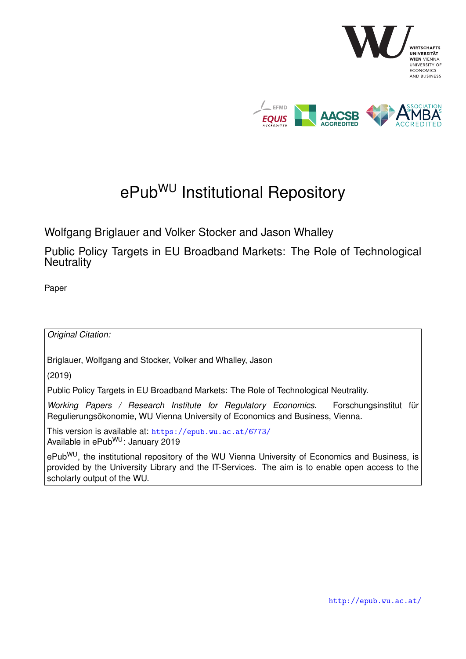

# ePub<sup>WU</sup> Institutional Repository

Wolfgang Briglauer and Volker Stocker and Jason Whalley

Public Policy Targets in EU Broadband Markets: The Role of Technological **Neutrality** 

Paper

*Original Citation:*

Briglauer, Wolfgang and Stocker, Volker and Whalley, Jason

(2019)

Public Policy Targets in EU Broadband Markets: The Role of Technological Neutrality.

*Working Papers / Research Institute for Regulatory Economics*. Forschungsinstitut für Regulierungsökonomie, WU Vienna University of Economics and Business, Vienna.

This version is available at: <https://epub.wu.ac.at/6773/> Available in ePubWU: January 2019

ePub<sup>WU</sup>, the institutional repository of the WU Vienna University of Economics and Business, is provided by the University Library and the IT-Services. The aim is to enable open access to the scholarly output of the WU.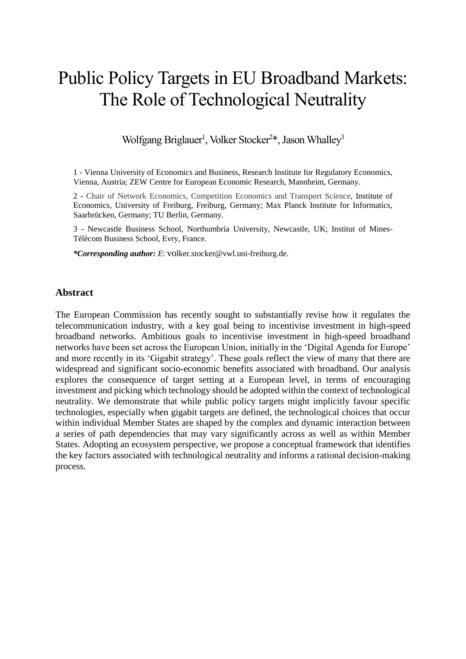# Public Policy Targets in EU Broadband Markets: The Role of Technological Neutrality

Wolfgang Briglauer<sup>1</sup>, Volker Stocker<sup>2\*</sup>, Jason Whalley<sup>3</sup>

1 - Vienna University of Economics and Business, Research Institute for Regulatory Economics, Vienna, Austria; ZEW Centre for European Economic Research, Mannheim, Germany.

2 - Chair of Network Economics, Competition Economics and Transport Science, Institute of Economics, University of Freiburg, Freiburg, Germany; Max Planck Institute for Informatics, Saarbrücken, Germany; TU Berlin, Germany.

3 - Newcastle Business School, Northumbria University, Newcastle, UK; Institut of Mines-Télècom Business School, Evry, France.

*\*Corresponding author: E*: volker.stocker@vwl.uni-freiburg.de.

#### **Abstract**

<span id="page-1-0"></span>The European Commission has recently sought to substantially revise how it regulates the telecommunication industry, with a key goal being to incentivise investment in high-speed broadband networks. Ambitious goals to incentivise investment in high-speed broadband networks have been set across the European Union, initially in the 'Digital Agenda for Europe' and more recently in its 'Gigabit strategy'. These goals reflect the view of many that there are widespread and significant socio-economic benefits associated with broadband. Our analysis explores the consequence of target setting at a European level, in terms of encouraging investment and picking which technology should be adopted within the context of technological neutrality. We demonstrate that while public policy targets might implicitly favour specific technologies, especially when gigabit targets are defined, the technological choices that occur within individual Member States are shaped by the complex and dynamic interaction between a series of path dependencies that may vary significantly across as well as within Member States. Adopting an ecosystem perspective, we propose a conceptual framework that identifies the key factors associated with technological neutrality and informs a rational decision-making process.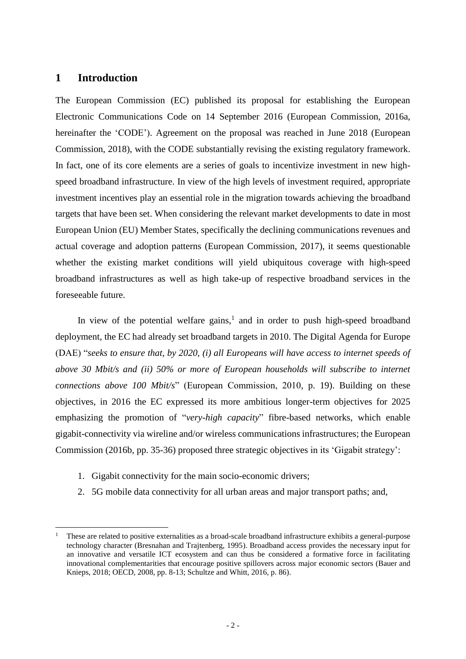### **1 Introduction**

 $\overline{a}$ 

The European Commission (EC) published its proposal for establishing the European Electronic Communications Code on 14 September 2016 (European Commission, 2016a, hereinafter the 'CODE'). Agreement on the proposal was reached in June 2018 (European Commission, 2018), with the CODE substantially revising the existing regulatory framework. In fact, one of its core elements are a series of goals to incentivize investment in new highspeed broadband infrastructure. In view of the high levels of investment required, appropriate investment incentives play an essential role in the migration towards achieving the broadband targets that have been set. When considering the relevant market developments to date in most European Union (EU) Member States, specifically the declining communications revenues and actual coverage and adoption patterns (European Commission, 2017), it seems questionable whether the existing market conditions will yield ubiquitous coverage with high-speed broadband infrastructures as well as high take-up of respective broadband services in the foreseeable future.

In view of the potential welfare gains,<sup>1</sup> and in order to push high-speed broadband deployment, the EC had already set broadband targets in 2010. The Digital Agenda for Europe (DAE) "*seeks to ensure that, by 2020, (i) all Europeans will have access to internet speeds of above 30 Mbit/s and (ii) 50% or more of European households will subscribe to internet connections above 100 Mbit/s*" (European Commission, 2010, p. 19). Building on these objectives, in 2016 the EC expressed its more ambitious longer-term objectives for 2025 emphasizing the promotion of "*very-high capacity*" fibre-based networks, which enable gigabit-connectivity via wireline and/or wireless communications infrastructures; the European Commission (2016b, pp. 35-36) proposed three strategic objectives in its 'Gigabit strategy':

- 1. Gigabit connectivity for the main socio-economic drivers;
- 2. 5G mobile data connectivity for all urban areas and major transport paths; and,

<sup>1</sup> These are related to positive externalities as a broad-scale broadband infrastructure exhibits a general-purpose technology character (Bresnahan and Trajtenberg, 1995). Broadband access provides the necessary input for an innovative and versatile ICT ecosystem and can thus be considered a formative force in facilitating innovational complementarities that encourage positive spillovers across major economic sectors (Bauer and Knieps, 2018; OECD, 2008, pp. 8-13; Schultze and Whitt, 2016, p. 86).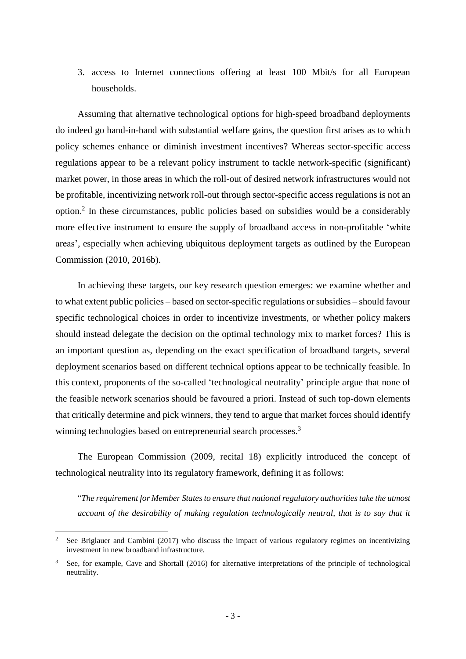3. access to Internet connections offering at least 100 Mbit/s for all European households.

Assuming that alternative technological options for high-speed broadband deployments do indeed go hand-in-hand with substantial welfare gains, the question first arises as to which policy schemes enhance or diminish investment incentives? Whereas sector-specific access regulations appear to be a relevant policy instrument to tackle network-specific (significant) market power, in those areas in which the roll-out of desired network infrastructures would not be profitable, incentivizing network roll-out through sector-specific access regulations is not an option.<sup>2</sup> In these circumstances, public policies based on subsidies would be a considerably more effective instrument to ensure the supply of broadband access in non-profitable 'white areas', especially when achieving ubiquitous deployment targets as outlined by the European Commission (2010, 2016b).

In achieving these targets, our key research question emerges: we examine whether and to what extent public policies – based on sector-specific regulations or subsidies – should favour specific technological choices in order to incentivize investments, or whether policy makers should instead delegate the decision on the optimal technology mix to market forces? This is an important question as, depending on the exact specification of broadband targets, several deployment scenarios based on different technical options appear to be technically feasible. In this context, proponents of the so-called 'technological neutrality' principle argue that none of the feasible network scenarios should be favoured a priori. Instead of such top-down elements that critically determine and pick winners, they tend to argue that market forces should identify winning technologies based on entrepreneurial search processes.<sup>3</sup>

The European Commission (2009, recital 18) explicitly introduced the concept of technological neutrality into its regulatory framework, defining it as follows:

"*The requirement for Member States to ensure that national regulatory authorities take the utmost account of the desirability of making regulation technologically neutral, that is to say that it* 

<sup>2</sup> See Briglauer and Cambini (2017) who discuss the impact of various regulatory regimes on incentivizing investment in new broadband infrastructure.

See, for example, Cave and Shortall (2016) for alternative interpretations of the principle of technological neutrality.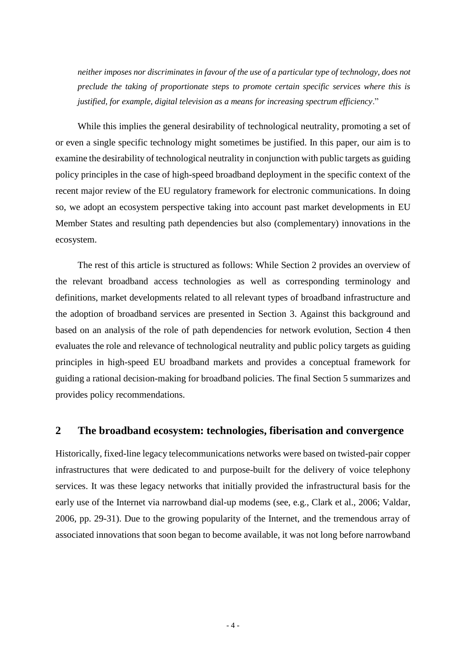*neither imposes nor discriminates in favour of the use of a particular type of technology, does not preclude the taking of proportionate steps to promote certain specific services where this is justified, for example, digital television as a means for increasing spectrum efficiency*."

While this implies the general desirability of technological neutrality, promoting a set of or even a single specific technology might sometimes be justified. In this paper, our aim is to examine the desirability of technological neutrality in conjunction with public targets as guiding policy principles in the case of high-speed broadband deployment in the specific context of the recent major review of the EU regulatory framework for electronic communications. In doing so, we adopt an ecosystem perspective taking into account past market developments in EU Member States and resulting path dependencies but also (complementary) innovations in the ecosystem.

The rest of this article is structured as follows: While Section [2](#page-4-0) provides an overview of the relevant broadband access technologies as well as corresponding terminology and definitions, market developments related to all relevant types of broadband infrastructure and the adoption of broadband services are presented in Section [3.](#page-9-0) Against this background and based on an analysis of the role of path dependencies for network evolution, Section [4](#page-13-0) then evaluates the role and relevance of technological neutrality and public policy targets as guiding principles in high-speed EU broadband markets and provides a conceptual framework for guiding a rational decision-making for broadband policies. The final Section [5](#page-30-0) summarizes and provides policy recommendations.

# <span id="page-4-0"></span>**2 The broadband ecosystem: technologies, fiberisation and convergence**

Historically, fixed-line legacy telecommunications networks were based on twisted-pair copper infrastructures that were dedicated to and purpose-built for the delivery of voice telephony services. It was these legacy networks that initially provided the infrastructural basis for the early use of the Internet via narrowband dial-up modems (see, e.g., Clark et al., 2006; Valdar, 2006, pp. 29-31). Due to the growing popularity of the Internet, and the tremendous array of associated innovations that soon began to become available, it was not long before narrowband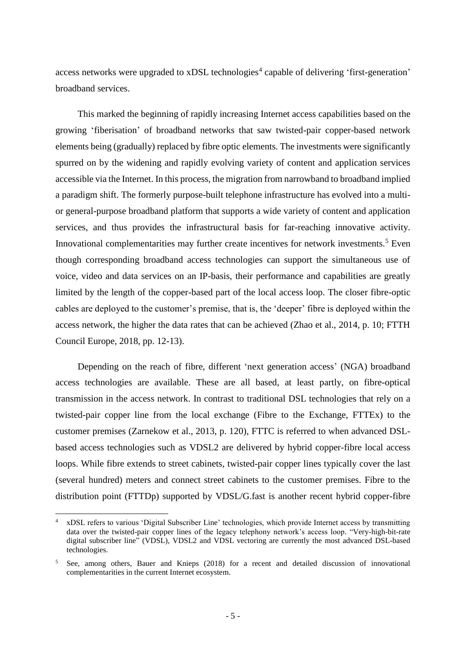access networks were upgraded to xDSL technologies<sup>4</sup> capable of delivering 'first-generation' broadband services.

This marked the beginning of rapidly increasing Internet access capabilities based on the growing 'fiberisation' of broadband networks that saw twisted-pair copper-based network elements being (gradually) replaced by fibre optic elements. The investments were significantly spurred on by the widening and rapidly evolving variety of content and application services accessible via the Internet. In this process, the migration from narrowband to broadband implied a paradigm shift. The formerly purpose-built telephone infrastructure has evolved into a multior general-purpose broadband platform that supports a wide variety of content and application services, and thus provides the infrastructural basis for far-reaching innovative activity. Innovational complementarities may further create incentives for network investments.<sup>5</sup> Even though corresponding broadband access technologies can support the simultaneous use of voice, video and data services on an IP-basis, their performance and capabilities are greatly limited by the length of the copper-based part of the local access loop. The closer fibre-optic cables are deployed to the customer's premise, that is, the 'deeper' fibre is deployed within the access network, the higher the data rates that can be achieved (Zhao et al., 2014, p. 10; FTTH Council Europe, 2018, pp. 12-13).

Depending on the reach of fibre, different 'next generation access' (NGA) broadband access technologies are available. These are all based, at least partly, on fibre-optical transmission in the access network. In contrast to traditional DSL technologies that rely on a twisted-pair copper line from the local exchange (Fibre to the Exchange, FTTEx) to the customer premises (Zarnekow et al., 2013, p. 120), FTTC is referred to when advanced DSLbased access technologies such as VDSL2 are delivered by hybrid copper-fibre local access loops. While fibre extends to street cabinets, twisted-pair copper lines typically cover the last (several hundred) meters and connect street cabinets to the customer premises. Fibre to the distribution point (FTTDp) supported by VDSL/G.fast is another recent hybrid copper-fibre

<sup>4</sup> xDSL refers to various 'Digital Subscriber Line' technologies, which provide Internet access by transmitting data over the twisted-pair copper lines of the legacy telephony network's access loop. "Very-high-bit-rate digital subscriber line" (VDSL), VDSL2 and VDSL vectoring are currently the most advanced DSL-based technologies.

<sup>5</sup> See, among others, Bauer and Knieps (2018) for a recent and detailed discussion of innovational complementarities in the current Internet ecosystem.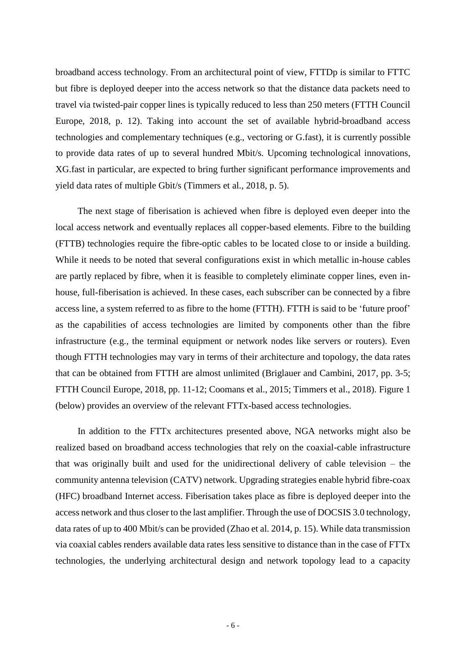broadband access technology. From an architectural point of view, FTTDp is similar to FTTC but fibre is deployed deeper into the access network so that the distance data packets need to travel via twisted-pair copper lines is typically reduced to less than 250 meters (FTTH Council Europe, 2018, p. 12). Taking into account the set of available hybrid-broadband access technologies and complementary techniques (e.g., vectoring or G.fast), it is currently possible to provide data rates of up to several hundred Mbit/s. Upcoming technological innovations, XG.fast in particular, are expected to bring further significant performance improvements and yield data rates of multiple Gbit/s (Timmers et al., 2018, p. 5).

The next stage of fiberisation is achieved when fibre is deployed even deeper into the local access network and eventually replaces all copper-based elements. Fibre to the building (FTTB) technologies require the fibre-optic cables to be located close to or inside a building. While it needs to be noted that several configurations exist in which metallic in-house cables are partly replaced by fibre, when it is feasible to completely eliminate copper lines, even inhouse, full-fiberisation is achieved. In these cases, each subscriber can be connected by a fibre access line, a system referred to as fibre to the home (FTTH). FTTH is said to be 'future proof' as the capabilities of access technologies are limited by components other than the fibre infrastructure (e.g., the terminal equipment or network nodes like servers or routers). Even though FTTH technologies may vary in terms of their architecture and topology, the data rates that can be obtained from FTTH are almost unlimited (Briglauer and Cambini, 2017, pp. 3-5; FTTH Council Europe, 2018, pp. 11-12; Coomans et al., 2015; Timmers et al., 2018). Figure 1 (below) provides an overview of the relevant FTTx-based access technologies.

In addition to the FTTx architectures presented above, NGA networks might also be realized based on broadband access technologies that rely on the coaxial-cable infrastructure that was originally built and used for the unidirectional delivery of cable television – the community antenna television (CATV) network. Upgrading strategies enable hybrid fibre-coax (HFC) broadband Internet access. Fiberisation takes place as fibre is deployed deeper into the access network and thus closer to the last amplifier. Through the use of DOCSIS 3.0 technology, data rates of up to 400 Mbit/s can be provided (Zhao et al. 2014, p. 15). While data transmission via coaxial cables renders available data rates less sensitive to distance than in the case of FTTx technologies, the underlying architectural design and network topology lead to a capacity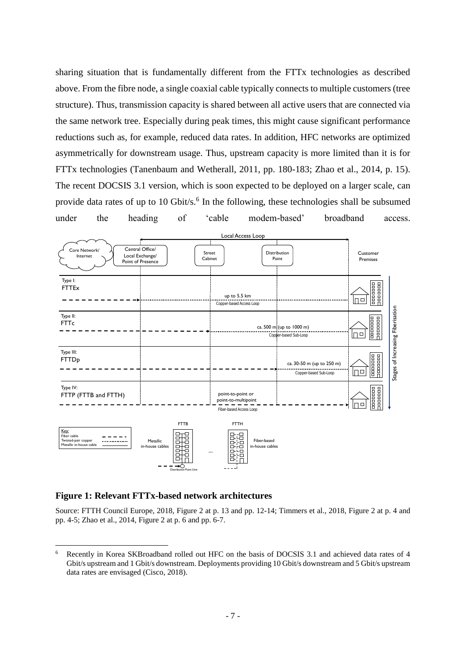sharing situation that is fundamentally different from the FTTx technologies as described above. From the fibre node, a single coaxial cable typically connects to multiple customers (tree structure). Thus, transmission capacity is shared between all active users that are connected via the same network tree. Especially during peak times, this might cause significant performance reductions such as, for example, reduced data rates. In addition, HFC networks are optimized asymmetrically for downstream usage. Thus, upstream capacity is more limited than it is for FTTx technologies (Tanenbaum and Wetherall, 2011, pp. 180-183; Zhao et al., 2014, p. 15). The recent DOCSIS 3.1 version, which is soon expected to be deployed on a larger scale, can provide data rates of up to 10 Gbit/s.<sup>6</sup> In the following, these technologies shall be subsumed under the heading of 'cable modem-based' broadband access.



#### **Figure 1: Relevant FTTx-based network architectures**

 $\overline{a}$ 

Source: FTTH Council Europe, 2018, Figure 2 at p. 13 and pp. 12-14; Timmers et al., 2018, Figure 2 at p. 4 and pp. 4-5; Zhao et al., 2014, Figure 2 at p. 6 and pp. 6-7.

<sup>6</sup> Recently in Korea SKBroadband rolled out HFC on the basis of DOCSIS 3.1 and achieved data rates of 4 Gbit/s upstream and 1 Gbit/s downstream. Deployments providing 10 Gbit/s downstream and 5 Gbit/s upstream data rates are envisaged (Cisco, 2018).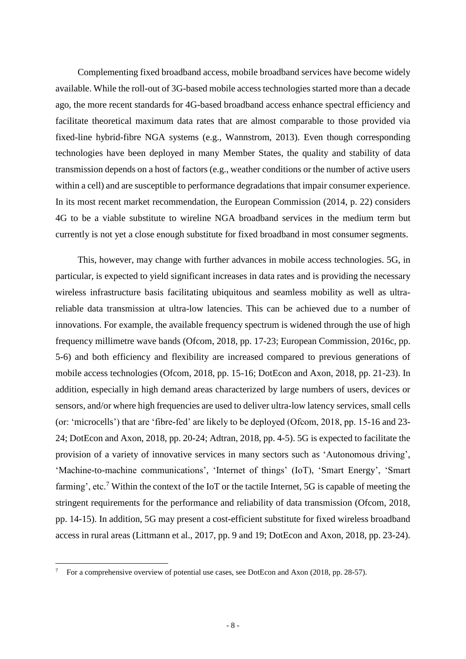Complementing fixed broadband access, mobile broadband services have become widely available. While the roll-out of 3G-based mobile access technologies started more than a decade ago, the more recent standards for 4G-based broadband access enhance spectral efficiency and facilitate theoretical maximum data rates that are almost comparable to those provided via fixed-line hybrid-fibre NGA systems (e.g., Wannstrom, 2013). Even though corresponding technologies have been deployed in many Member States, the quality and stability of data transmission depends on a host of factors (e.g., weather conditions or the number of active users within a cell) and are susceptible to performance degradations that impair consumer experience. In its most recent market recommendation, the European Commission (2014, p. 22) considers 4G to be a viable substitute to wireline NGA broadband services in the medium term but currently is not yet a close enough substitute for fixed broadband in most consumer segments.

This, however, may change with further advances in mobile access technologies. 5G, in particular, is expected to yield significant increases in data rates and is providing the necessary wireless infrastructure basis facilitating ubiquitous and seamless mobility as well as ultrareliable data transmission at ultra-low latencies. This can be achieved due to a number of innovations. For example, the available frequency spectrum is widened through the use of high frequency millimetre wave bands (Ofcom, 2018, pp. 17-23; European Commission, 2016c, pp. 5-6) and both efficiency and flexibility are increased compared to previous generations of mobile access technologies (Ofcom, 2018, pp. 15-16; DotEcon and Axon, 2018, pp. 21-23). In addition, especially in high demand areas characterized by large numbers of users, devices or sensors, and/or where high frequencies are used to deliver ultra-low latency services, small cells (or: 'microcells') that are 'fibre-fed' are likely to be deployed (Ofcom, 2018, pp. 15-16 and 23- 24; DotEcon and Axon, 2018, pp. 20-24; Adtran, 2018, pp. 4-5). 5G is expected to facilitate the provision of a variety of innovative services in many sectors such as 'Autonomous driving', 'Machine-to-machine communications', 'Internet of things' (IoT), 'Smart Energy', 'Smart farming', etc.<sup>7</sup> Within the context of the IoT or the tactile Internet, 5G is capable of meeting the stringent requirements for the performance and reliability of data transmission (Ofcom, 2018, pp. 14-15). In addition, 5G may present a cost-efficient substitute for fixed wireless broadband access in rural areas (Littmann et al., 2017, pp. 9 and 19; DotEcon and Axon, 2018, pp. 23-24).

<sup>7</sup> For a comprehensive overview of potential use cases, see DotEcon and Axon (2018, pp. 28-57).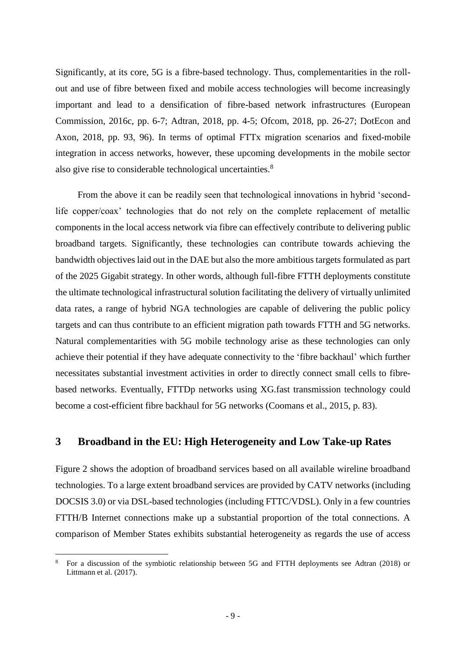Significantly, at its core, 5G is a fibre-based technology. Thus, complementarities in the rollout and use of fibre between fixed and mobile access technologies will become increasingly important and lead to a densification of fibre-based network infrastructures (European Commission, 2016c, pp. 6-7; Adtran, 2018, pp. 4-5; Ofcom, 2018, pp. 26-27; DotEcon and Axon, 2018, pp. 93, 96). In terms of optimal FTTx migration scenarios and fixed-mobile integration in access networks, however, these upcoming developments in the mobile sector also give rise to considerable technological uncertainties.<sup>8</sup>

From the above it can be readily seen that technological innovations in hybrid 'secondlife copper/coax' technologies that do not rely on the complete replacement of metallic components in the local access network via fibre can effectively contribute to delivering public broadband targets. Significantly, these technologies can contribute towards achieving the bandwidth objectives laid out in the DAE but also the more ambitious targets formulated as part of the 2025 Gigabit strategy. In other words, although full-fibre FTTH deployments constitute the ultimate technological infrastructural solution facilitating the delivery of virtually unlimited data rates, a range of hybrid NGA technologies are capable of delivering the public policy targets and can thus contribute to an efficient migration path towards FTTH and 5G networks. Natural complementarities with 5G mobile technology arise as these technologies can only achieve their potential if they have adequate connectivity to the 'fibre backhaul' which further necessitates substantial investment activities in order to directly connect small cells to fibrebased networks. Eventually, FTTDp networks using XG.fast transmission technology could become a cost-efficient fibre backhaul for 5G networks (Coomans et al., 2015, p. 83).

# <span id="page-9-0"></span>**3 Broadband in the EU: High Heterogeneity and Low Take-up Rates**

[Figure 2](#page-10-0) shows the adoption of broadband services based on all available wireline broadband technologies. To a large extent broadband services are provided by CATV networks (including DOCSIS 3.0) or via DSL-based technologies (including FTTC/VDSL). Only in a few countries FTTH/B Internet connections make up a substantial proportion of the total connections. A comparison of Member States exhibits substantial heterogeneity as regards the use of access

<sup>8</sup> For a discussion of the symbiotic relationship between 5G and FTTH deployments see Adtran (2018) or Littmann et al. (2017).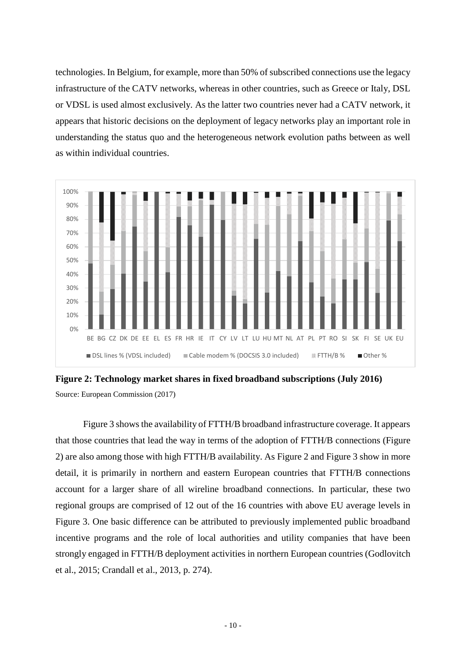technologies. In Belgium, for example, more than 50% of subscribed connections use the legacy infrastructure of the CATV networks, whereas in other countries, such as Greece or Italy, DSL or VDSL is used almost exclusively. As the latter two countries never had a CATV network, it appears that historic decisions on the deployment of legacy networks play an important role in understanding the status quo and the heterogeneous network evolution paths between as well as within individual countries.



<span id="page-10-0"></span>**Figure 2: Technology market shares in fixed broadband subscriptions (July 2016)** Source: European Commission (2017)

[Figure 3](#page-11-0) shows the availability of FTTH/B broadband infrastructure coverage. It appears that those countries that lead the way in terms of the adoption of FTTH/B connections [\(Figure](#page-10-0)  [2\)](#page-10-0) are also among those with high FTTH/B availability. As [Figure 2](#page-10-0) and [Figure 3](#page-11-0) show in more detail, it is primarily in northern and eastern European countries that FTTH/B connections account for a larger share of all wireline broadband connections. In particular, these two regional groups are comprised of 12 out of the 16 countries with above EU average levels in [Figure 3.](#page-11-0) One basic difference can be attributed to previously implemented public broadband incentive programs and the role of local authorities and utility companies that have been strongly engaged in FTTH/B deployment activities in northern European countries (Godlovitch et al., 2015; Crandall et al., 2013, p. 274).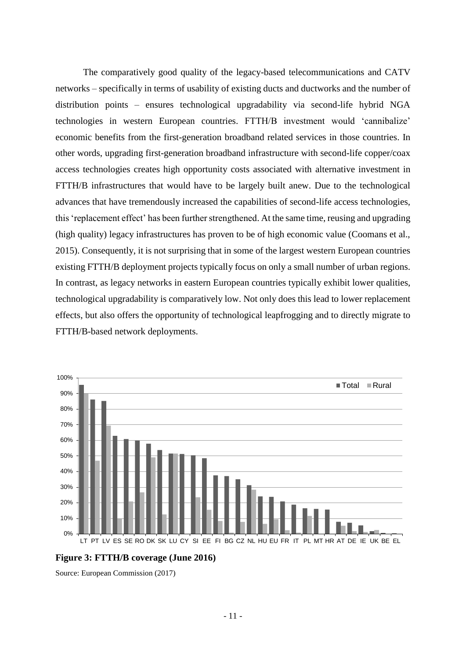The comparatively good quality of the legacy-based telecommunications and CATV networks – specifically in terms of usability of existing ducts and ductworks and the number of distribution points – ensures technological upgradability via second-life hybrid NGA technologies in western European countries. FTTH/B investment would 'cannibalize' economic benefits from the first-generation broadband related services in those countries. In other words, upgrading first-generation broadband infrastructure with second-life copper/coax access technologies creates high opportunity costs associated with alternative investment in FTTH/B infrastructures that would have to be largely built anew. Due to the technological advances that have tremendously increased the capabilities of second-life access technologies, this 'replacement effect' has been further strengthened. At the same time, reusing and upgrading (high quality) legacy infrastructures has proven to be of high economic value (Coomans et al., 2015). Consequently, it is not surprising that in some of the largest western European countries existing FTTH/B deployment projects typically focus on only a small number of urban regions. In contrast, as legacy networks in eastern European countries typically exhibit lower qualities, technological upgradability is comparatively low. Not only does this lead to lower replacement effects, but also offers the opportunity of technological leapfrogging and to directly migrate to FTTH/B-based network deployments.



<span id="page-11-0"></span>**Figure 3: FTTH/B coverage (June 2016)**

Source: European Commission (2017)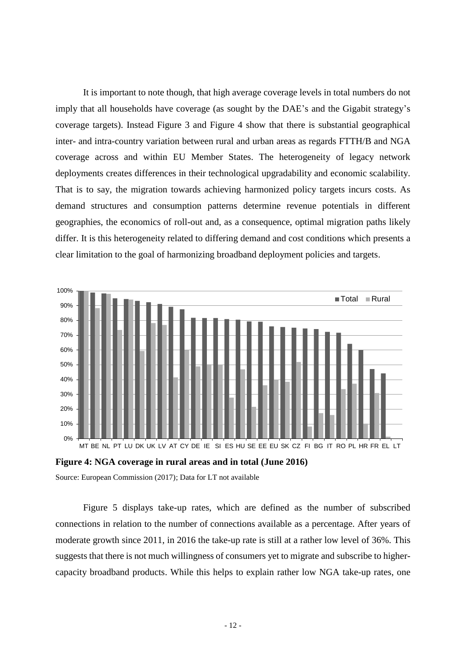It is important to note though, that high average coverage levels in total numbers do not imply that all households have coverage (as sought by the DAE's and the Gigabit strategy's coverage targets). Instead [Figure 3](#page-11-0) and [Figure 4](#page-12-0) show that there is substantial geographical inter- and intra-country variation between rural and urban areas as regards FTTH/B and NGA coverage across and within EU Member States. The heterogeneity of legacy network deployments creates differences in their technological upgradability and economic scalability. That is to say, the migration towards achieving harmonized policy targets incurs costs. As demand structures and consumption patterns determine revenue potentials in different geographies, the economics of roll-out and, as a consequence, optimal migration paths likely differ. It is this heterogeneity related to differing demand and cost conditions which presents a clear limitation to the goal of harmonizing broadband deployment policies and targets.



<span id="page-12-0"></span>Source: European Commission (2017); Data for LT not available

[Figure 5](#page-13-1) displays take-up rates, which are defined as the number of subscribed connections in relation to the number of connections available as a percentage. After years of moderate growth since 2011, in 2016 the take-up rate is still at a rather low level of 36%. This suggests that there is not much willingness of consumers yet to migrate and subscribe to highercapacity broadband products. While this helps to explain rather low NGA take-up rates, one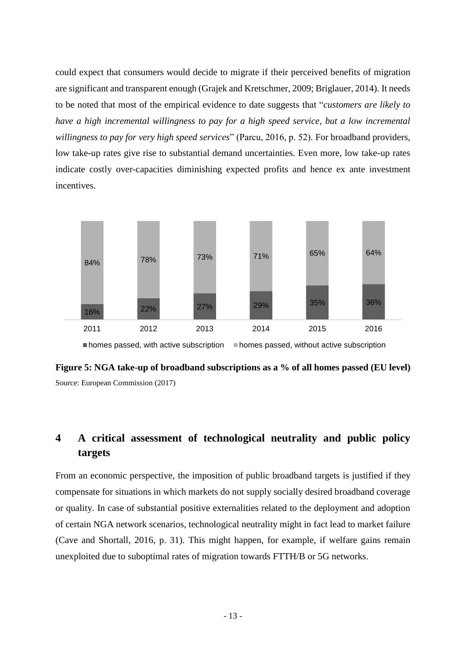could expect that consumers would decide to migrate if their perceived benefits of migration are significant and transparent enough (Grajek and Kretschmer, 2009; Briglauer, 2014). It needs to be noted that most of the empirical evidence to date suggests that "*customers are likely to have a high incremental willingness to pay for a high speed service, but a low incremental willingness to pay for very high speed services*" (Parcu, 2016, p. 52). For broadband providers, low take-up rates give rise to substantial demand uncertainties. Even more, low take-up rates indicate costly over-capacities diminishing expected profits and hence ex ante investment incentives.



<span id="page-13-1"></span>**Figure 5: NGA take-up of broadband subscriptions as a % of all homes passed (EU level)** Source: European Commission (2017)

# <span id="page-13-0"></span>**4 A critical assessment of technological neutrality and public policy targets**

From an economic perspective, the imposition of public broadband targets is justified if they compensate for situations in which markets do not supply socially desired broadband coverage or quality. In case of substantial positive externalities related to the deployment and adoption of certain NGA network scenarios, technological neutrality might in fact lead to market failure (Cave and Shortall, 2016, p. 31). This might happen, for example, if welfare gains remain unexploited due to suboptimal rates of migration towards FTTH/B or 5G networks.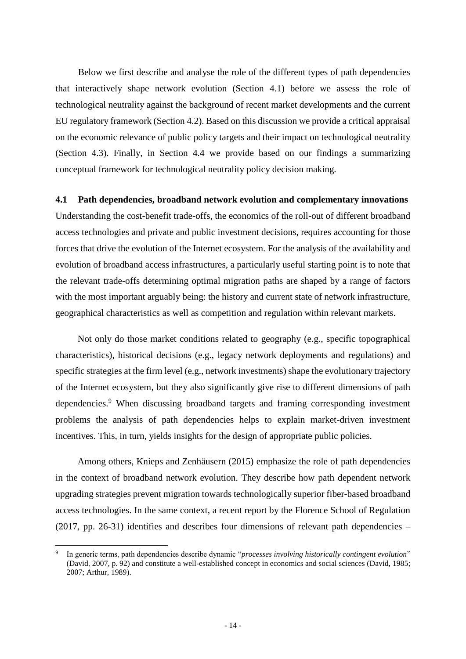Below we first describe and analyse the role of the different types of path dependencies that interactively shape network evolution (Section [4.1\)](#page-14-0) before we assess the role of technological neutrality against the background of recent market developments and the current EU regulatory framework (Section [4.2\)](#page-20-0). Based on this discussion we provide a critical appraisal on the economic relevance of public policy targets and their impact on technological neutrality (Section [4.3\)](#page-23-0). Finally, in Section [4.4](#page-27-0) we provide based on our findings a summarizing conceptual framework for technological neutrality policy decision making.

#### <span id="page-14-0"></span>**4.1 Path dependencies, broadband network evolution and complementary innovations**

Understanding the cost-benefit trade-offs, the economics of the roll-out of different broadband access technologies and private and public investment decisions, requires accounting for those forces that drive the evolution of the Internet ecosystem. For the analysis of the availability and evolution of broadband access infrastructures, a particularly useful starting point is to note that the relevant trade-offs determining optimal migration paths are shaped by a range of factors with the most important arguably being: the history and current state of network infrastructure, geographical characteristics as well as competition and regulation within relevant markets.

Not only do those market conditions related to geography (e.g., specific topographical characteristics), historical decisions (e.g., legacy network deployments and regulations) and specific strategies at the firm level (e.g., network investments) shape the evolutionary trajectory of the Internet ecosystem, but they also significantly give rise to different dimensions of path dependencies.<sup>9</sup> When discussing broadband targets and framing corresponding investment problems the analysis of path dependencies helps to explain market-driven investment incentives. This, in turn, yields insights for the design of appropriate public policies.

Among others, Knieps and Zenhäusern (2015) emphasize the role of path dependencies in the context of broadband network evolution. They describe how path dependent network upgrading strategies prevent migration towards technologically superior fiber-based broadband access technologies. In the same context, a recent report by the Florence School of Regulation (2017, pp. 26-31) identifies and describes four dimensions of relevant path dependencies –

<sup>9</sup> In generic terms, path dependencies describe dynamic "*processes involving historically contingent evolution*" (David, 2007, p. 92) and constitute a well-established concept in economics and social sciences (David, 1985; 2007; Arthur, 1989).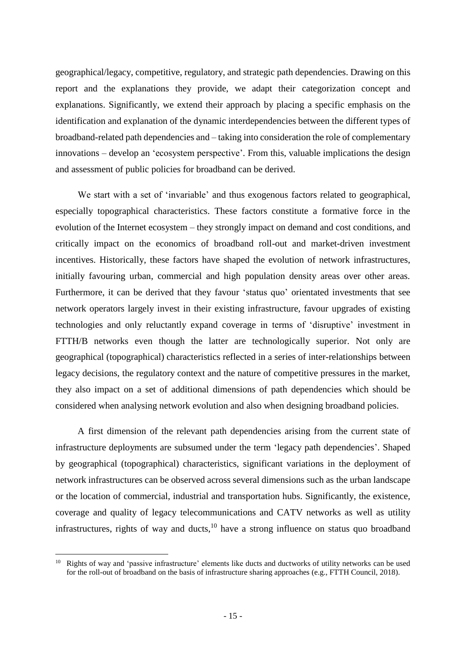geographical/legacy, competitive, regulatory, and strategic path dependencies. Drawing on this report and the explanations they provide, we adapt their categorization concept and explanations. Significantly, we extend their approach by placing a specific emphasis on the identification and explanation of the dynamic interdependencies between the different types of broadband-related path dependencies and – taking into consideration the role of complementary innovations – develop an 'ecosystem perspective'. From this, valuable implications the design and assessment of public policies for broadband can be derived.

We start with a set of 'invariable' and thus exogenous factors related to geographical, especially topographical characteristics. These factors constitute a formative force in the evolution of the Internet ecosystem – they strongly impact on demand and cost conditions, and critically impact on the economics of broadband roll-out and market-driven investment incentives. Historically, these factors have shaped the evolution of network infrastructures, initially favouring urban, commercial and high population density areas over other areas. Furthermore, it can be derived that they favour 'status quo' orientated investments that see network operators largely invest in their existing infrastructure, favour upgrades of existing technologies and only reluctantly expand coverage in terms of 'disruptive' investment in FTTH/B networks even though the latter are technologically superior. Not only are geographical (topographical) characteristics reflected in a series of inter-relationships between legacy decisions, the regulatory context and the nature of competitive pressures in the market, they also impact on a set of additional dimensions of path dependencies which should be considered when analysing network evolution and also when designing broadband policies.

A first dimension of the relevant path dependencies arising from the current state of infrastructure deployments are subsumed under the term 'legacy path dependencies'. Shaped by geographical (topographical) characteristics, significant variations in the deployment of network infrastructures can be observed across several dimensions such as the urban landscape or the location of commercial, industrial and transportation hubs. Significantly, the existence, coverage and quality of legacy telecommunications and CATV networks as well as utility infrastructures, rights of way and ducts, $10$  have a strong influence on status quo broadband

Rights of way and 'passive infrastructure' elements like ducts and ductworks of utility networks can be used for the roll-out of broadband on the basis of infrastructure sharing approaches (e.g., FTTH Council, 2018).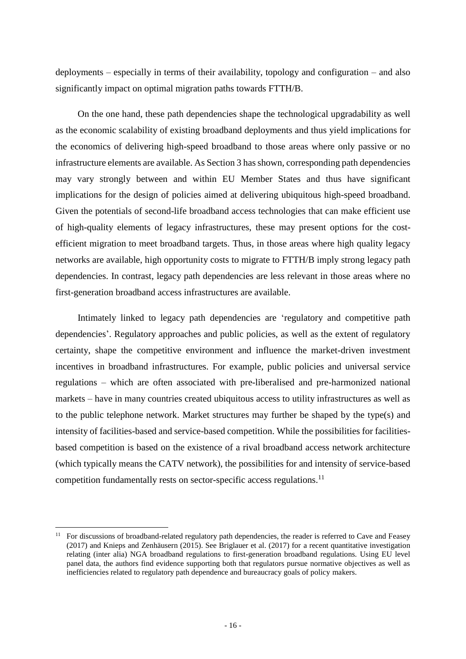deployments – especially in terms of their availability, topology and configuration – and also significantly impact on optimal migration paths towards FTTH/B.

On the one hand, these path dependencies shape the technological upgradability as well as the economic scalability of existing broadband deployments and thus yield implications for the economics of delivering high-speed broadband to those areas where only passive or no infrastructure elements are available. As Section 3 has shown, corresponding path dependencies may vary strongly between and within EU Member States and thus have significant implications for the design of policies aimed at delivering ubiquitous high-speed broadband. Given the potentials of second-life broadband access technologies that can make efficient use of high-quality elements of legacy infrastructures, these may present options for the costefficient migration to meet broadband targets. Thus, in those areas where high quality legacy networks are available, high opportunity costs to migrate to FTTH/B imply strong legacy path dependencies. In contrast, legacy path dependencies are less relevant in those areas where no first-generation broadband access infrastructures are available.

Intimately linked to legacy path dependencies are 'regulatory and competitive path dependencies'. Regulatory approaches and public policies, as well as the extent of regulatory certainty, shape the competitive environment and influence the market-driven investment incentives in broadband infrastructures. For example, public policies and universal service regulations – which are often associated with pre-liberalised and pre-harmonized national markets – have in many countries created ubiquitous access to utility infrastructures as well as to the public telephone network. Market structures may further be shaped by the type(s) and intensity of facilities-based and service-based competition. While the possibilities for facilitiesbased competition is based on the existence of a rival broadband access network architecture (which typically means the CATV network), the possibilities for and intensity of service-based competition fundamentally rests on sector-specific access regulations. 11

<sup>&</sup>lt;sup>11</sup> For discussions of broadband-related regulatory path dependencies, the reader is referred to Cave and Feasey (2017) and Knieps and Zenhäusern (2015). See Briglauer et al. (2017) for a recent quantitative investigation relating (inter alia) NGA broadband regulations to first-generation broadband regulations. Using EU level panel data, the authors find evidence supporting both that regulators pursue normative objectives as well as inefficiencies related to regulatory path dependence and bureaucracy goals of policy makers.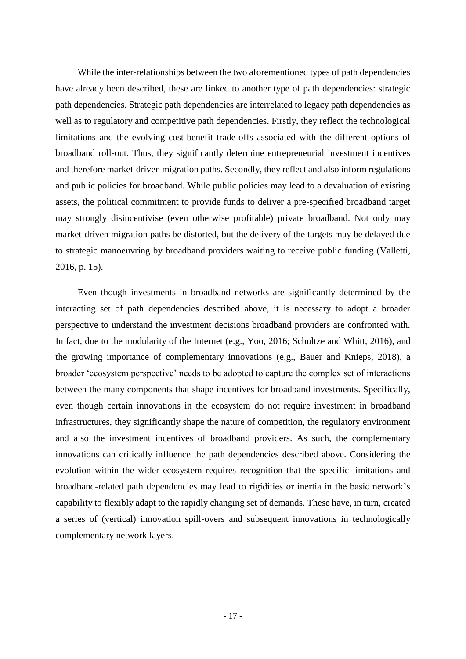While the inter-relationships between the two aforementioned types of path dependencies have already been described, these are linked to another type of path dependencies: strategic path dependencies. Strategic path dependencies are interrelated to legacy path dependencies as well as to regulatory and competitive path dependencies. Firstly, they reflect the technological limitations and the evolving cost-benefit trade-offs associated with the different options of broadband roll-out. Thus, they significantly determine entrepreneurial investment incentives and therefore market-driven migration paths. Secondly, they reflect and also inform regulations and public policies for broadband. While public policies may lead to a devaluation of existing assets, the political commitment to provide funds to deliver a pre-specified broadband target may strongly disincentivise (even otherwise profitable) private broadband. Not only may market-driven migration paths be distorted, but the delivery of the targets may be delayed due to strategic manoeuvring by broadband providers waiting to receive public funding (Valletti, 2016, p. 15).

Even though investments in broadband networks are significantly determined by the interacting set of path dependencies described above, it is necessary to adopt a broader perspective to understand the investment decisions broadband providers are confronted with. In fact, due to the modularity of the Internet (e.g., Yoo, 2016; Schultze and Whitt, 2016), and the growing importance of complementary innovations (e.g., Bauer and Knieps, 2018), a broader 'ecosystem perspective' needs to be adopted to capture the complex set of interactions between the many components that shape incentives for broadband investments. Specifically, even though certain innovations in the ecosystem do not require investment in broadband infrastructures, they significantly shape the nature of competition, the regulatory environment and also the investment incentives of broadband providers. As such, the complementary innovations can critically influence the path dependencies described above. Considering the evolution within the wider ecosystem requires recognition that the specific limitations and broadband-related path dependencies may lead to rigidities or inertia in the basic network's capability to flexibly adapt to the rapidly changing set of demands. These have, in turn, created a series of (vertical) innovation spill-overs and subsequent innovations in technologically complementary network layers.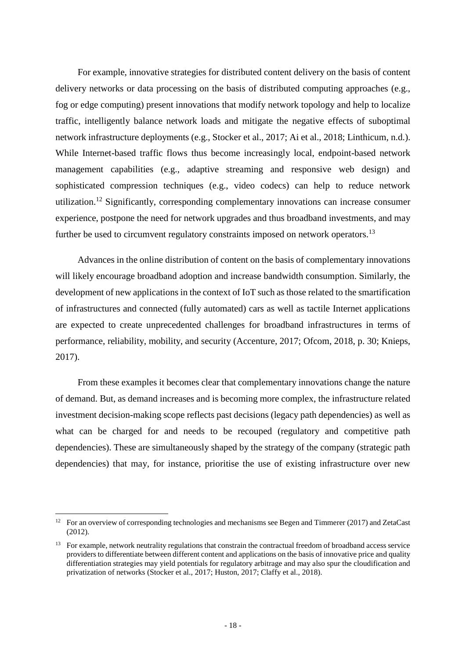For example, innovative strategies for distributed content delivery on the basis of content delivery networks or data processing on the basis of distributed computing approaches (e.g., fog or edge computing) present innovations that modify network topology and help to localize traffic, intelligently balance network loads and mitigate the negative effects of suboptimal network infrastructure deployments (e.g., Stocker et al., 2017; Ai et al., 2018; Linthicum, n.d.). While Internet-based traffic flows thus become increasingly local, endpoint-based network management capabilities (e.g., adaptive streaming and responsive web design) and sophisticated compression techniques (e.g., video codecs) can help to reduce network utilization.<sup>12</sup> Significantly, corresponding complementary innovations can increase consumer experience, postpone the need for network upgrades and thus broadband investments, and may further be used to circumvent regulatory constraints imposed on network operators.<sup>13</sup>

Advances in the online distribution of content on the basis of complementary innovations will likely encourage broadband adoption and increase bandwidth consumption. Similarly, the development of new applications in the context of IoT such as those related to the smartification of infrastructures and connected (fully automated) cars as well as tactile Internet applications are expected to create unprecedented challenges for broadband infrastructures in terms of performance, reliability, mobility, and security (Accenture, 2017; Ofcom, 2018, p. 30; Knieps, 2017).

From these examples it becomes clear that complementary innovations change the nature of demand. But, as demand increases and is becoming more complex, the infrastructure related investment decision-making scope reflects past decisions (legacy path dependencies) as well as what can be charged for and needs to be recouped (regulatory and competitive path dependencies). These are simultaneously shaped by the strategy of the company (strategic path dependencies) that may, for instance, prioritise the use of existing infrastructure over new

<sup>&</sup>lt;sup>12</sup> For an overview of corresponding technologies and mechanisms see Begen and Timmerer (2017) and ZetaCast (2012).

 $13$  For example, network neutrality regulations that constrain the contractual freedom of broadband access service providers to differentiate between different content and applications on the basis of innovative price and quality differentiation strategies may yield potentials for regulatory arbitrage and may also spur the cloudification and privatization of networks (Stocker et al., 2017; Huston, 2017; Claffy et al., 2018).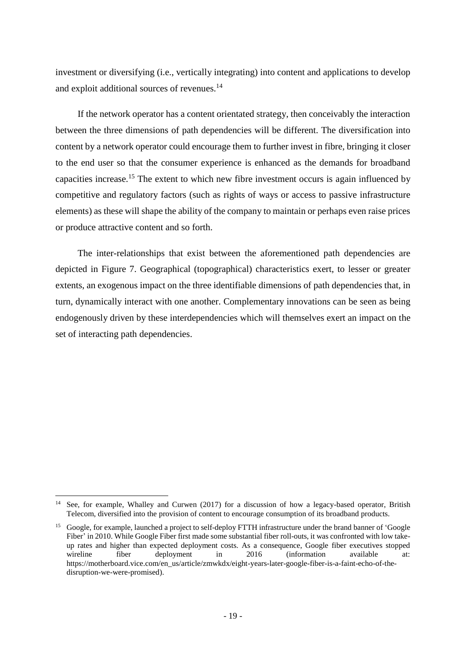investment or diversifying (i.e., vertically integrating) into content and applications to develop and exploit additional sources of revenues.<sup>14</sup>

If the network operator has a content orientated strategy, then conceivably the interaction between the three dimensions of path dependencies will be different. The diversification into content by a network operator could encourage them to further invest in fibre, bringing it closer to the end user so that the consumer experience is enhanced as the demands for broadband capacities increase.<sup>15</sup> The extent to which new fibre investment occurs is again influenced by competitive and regulatory factors (such as rights of ways or access to passive infrastructure elements) as these will shape the ability of the company to maintain or perhaps even raise prices or produce attractive content and so forth.

The inter-relationships that exist between the aforementioned path dependencies are depicted in Figure 7. Geographical (topographical) characteristics exert, to lesser or greater extents, an exogenous impact on the three identifiable dimensions of path dependencies that, in turn, dynamically interact with one another. Complementary innovations can be seen as being endogenously driven by these interdependencies which will themselves exert an impact on the set of interacting path dependencies.

 $\overline{a}$ <sup>14</sup> See, for example, Whalley and Curwen (2017) for a discussion of how a legacy-based operator, British Telecom, diversified into the provision of content to encourage consumption of its broadband products.

<sup>&</sup>lt;sup>15</sup> Google, for example, launched a project to self-deploy FTTH infrastructure under the brand banner of 'Google Fiber' in 2010. While Google Fiber first made some substantial fiber roll-outs, it was confronted with low takeup rates and higher than expected deployment costs. As a consequence, Google fiber executives stopped wireline fiber deployment in 2016 (information available at: https://motherboard.vice.com/en\_us/article/zmwkdx/eight-years-later-google-fiber-is-a-faint-echo-of-thedisruption-we-were-promised).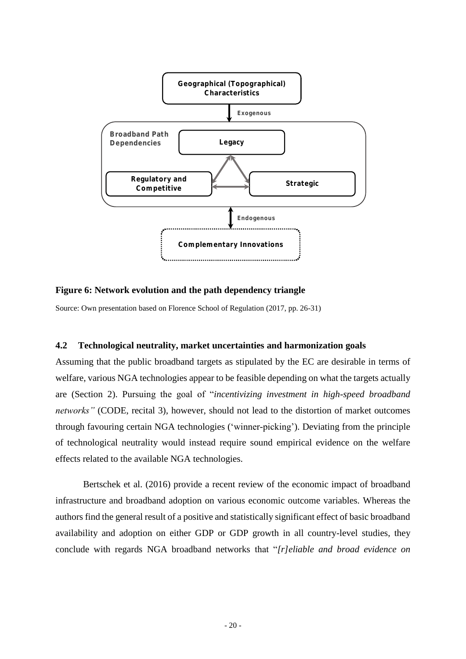

# **Figure 6: Network evolution and the path dependency triangle**

Source: Own presentation based on Florence School of Regulation (2017, pp. 26-31)

#### <span id="page-20-0"></span>**4.2 Technological neutrality, market uncertainties and harmonization goals**

Assuming that the public broadband targets as stipulated by the EC are desirable in terms of welfare, various NGA technologies appear to be feasible depending on what the targets actually are (Section [2\)](#page-4-0). Pursuing the goal of "*incentivizing investment in high-speed broadband networks"* (CODE, recital 3), however, should not lead to the distortion of market outcomes through favouring certain NGA technologies ('winner-picking'). Deviating from the principle of technological neutrality would instead require sound empirical evidence on the welfare effects related to the available NGA technologies.

Bertschek et al. (2016) provide a recent review of the economic impact of broadband infrastructure and broadband adoption on various economic outcome variables. Whereas the authors find the general result of a positive and statistically significant effect of basic broadband availability and adoption on either GDP or GDP growth in all country-level studies, they conclude with regards NGA broadband networks that "*[r]eliable and broad evidence on*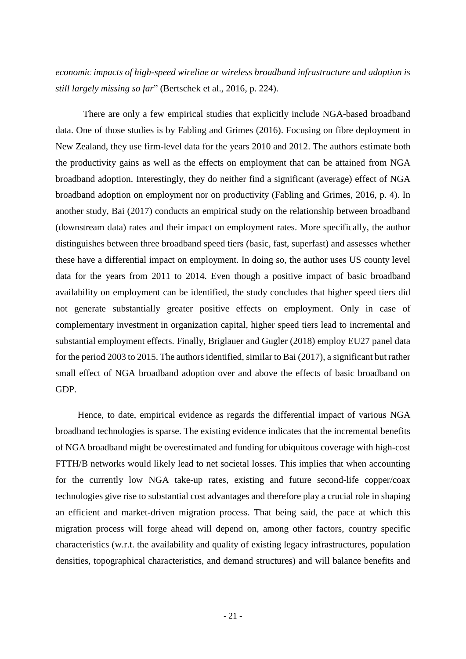*economic impacts of high-speed wireline or wireless broadband infrastructure and adoption is still largely missing so far*" (Bertschek et al., 2016, p. 224).

There are only a few empirical studies that explicitly include NGA-based broadband data. One of those studies is by Fabling and Grimes (2016). Focusing on fibre deployment in New Zealand, they use firm-level data for the years 2010 and 2012. The authors estimate both the productivity gains as well as the effects on employment that can be attained from NGA broadband adoption. Interestingly, they do neither find a significant (average) effect of NGA broadband adoption on employment nor on productivity (Fabling and Grimes, 2016, p. 4). In another study, Bai (2017) conducts an empirical study on the relationship between broadband (downstream data) rates and their impact on employment rates. More specifically, the author distinguishes between three broadband speed tiers (basic, fast, superfast) and assesses whether these have a differential impact on employment. In doing so, the author uses US county level data for the years from 2011 to 2014. Even though a positive impact of basic broadband availability on employment can be identified, the study concludes that higher speed tiers did not generate substantially greater positive effects on employment. Only in case of complementary investment in organization capital, higher speed tiers lead to incremental and substantial employment effects. Finally, Briglauer and Gugler (2018) employ EU27 panel data for the period 2003 to 2015. The authors identified, similar to Bai (2017), a significant but rather small effect of NGA broadband adoption over and above the effects of basic broadband on GDP.

Hence, to date, empirical evidence as regards the differential impact of various NGA broadband technologies is sparse. The existing evidence indicates that the incremental benefits of NGA broadband might be overestimated and funding for ubiquitous coverage with high-cost FTTH/B networks would likely lead to net societal losses. This implies that when accounting for the currently low NGA take-up rates, existing and future second-life copper/coax technologies give rise to substantial cost advantages and therefore play a crucial role in shaping an efficient and market-driven migration process. That being said, the pace at which this migration process will forge ahead will depend on, among other factors, country specific characteristics (w.r.t. the availability and quality of existing legacy infrastructures, population densities, topographical characteristics, and demand structures) and will balance benefits and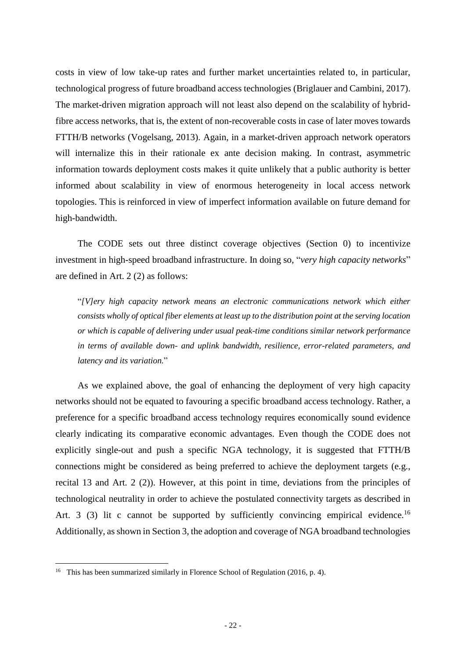costs in view of low take-up rates and further market uncertainties related to, in particular, technological progress of future broadband access technologies (Briglauer and Cambini, 2017). The market-driven migration approach will not least also depend on the scalability of hybridfibre access networks, that is, the extent of non-recoverable costs in case of later moves towards FTTH/B networks (Vogelsang, 2013). Again, in a market-driven approach network operators will internalize this in their rationale ex ante decision making. In contrast, asymmetric information towards deployment costs makes it quite unlikely that a public authority is better informed about scalability in view of enormous heterogeneity in local access network topologies. This is reinforced in view of imperfect information available on future demand for high-bandwidth.

The CODE sets out three distinct coverage objectives (Section [0\)](#page-1-0) to incentivize investment in high-speed broadband infrastructure. In doing so, "*very high capacity networks*" are defined in Art. 2 (2) as follows:

"*[V]ery high capacity network means an electronic communications network which either consists wholly of optical fiber elements at least up to the distribution point at the serving location or which is capable of delivering under usual peak-time conditions similar network performance in terms of available down- and uplink bandwidth, resilience, error-related parameters, and latency and its variation.*"

As we explained above, the goal of enhancing the deployment of very high capacity networks should not be equated to favouring a specific broadband access technology. Rather, a preference for a specific broadband access technology requires economically sound evidence clearly indicating its comparative economic advantages. Even though the CODE does not explicitly single-out and push a specific NGA technology, it is suggested that FTTH/B connections might be considered as being preferred to achieve the deployment targets (e.g., recital 13 and Art. 2 (2)). However, at this point in time, deviations from the principles of technological neutrality in order to achieve the postulated connectivity targets as described in Art. 3 (3) lit c cannot be supported by sufficiently convincing empirical evidence.<sup>16</sup> Additionally, as shown in Sectio[n 3,](#page-9-0) the adoption and coverage of NGA broadband technologies

<sup>&</sup>lt;sup>16</sup> This has been summarized similarly in Florence School of Regulation (2016, p. 4).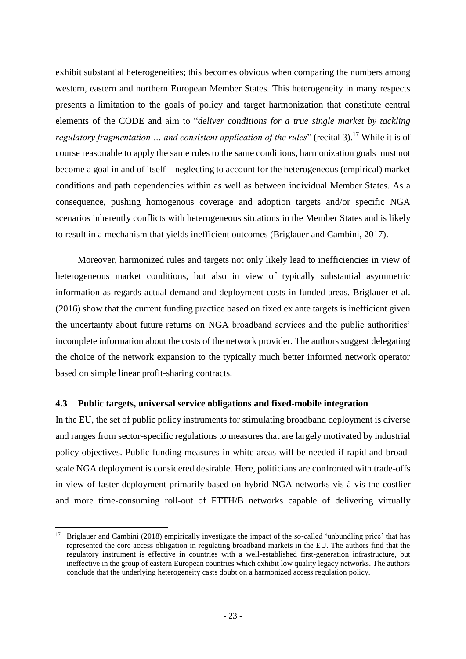exhibit substantial heterogeneities; this becomes obvious when comparing the numbers among western, eastern and northern European Member States. This heterogeneity in many respects presents a limitation to the goals of policy and target harmonization that constitute central elements of the CODE and aim to "*deliver conditions for a true single market by tackling regulatory fragmentation ... and consistent application of the rules*" (recital 3).<sup>17</sup> While it is of course reasonable to apply the same rules to the same conditions, harmonization goals must not become a goal in and of itself––neglecting to account for the heterogeneous (empirical) market conditions and path dependencies within as well as between individual Member States. As a consequence, pushing homogenous coverage and adoption targets and/or specific NGA scenarios inherently conflicts with heterogeneous situations in the Member States and is likely to result in a mechanism that yields inefficient outcomes (Briglauer and Cambini, 2017).

Moreover, harmonized rules and targets not only likely lead to inefficiencies in view of heterogeneous market conditions, but also in view of typically substantial asymmetric information as regards actual demand and deployment costs in funded areas. Briglauer et al. (2016) show that the current funding practice based on fixed ex ante targets is inefficient given the uncertainty about future returns on NGA broadband services and the public authorities' incomplete information about the costs of the network provider. The authors suggest delegating the choice of the network expansion to the typically much better informed network operator based on simple linear profit-sharing contracts.

#### <span id="page-23-0"></span>**4.3 Public targets, universal service obligations and fixed-mobile integration**

 $\overline{a}$ 

In the EU, the set of public policy instruments for stimulating broadband deployment is diverse and ranges from sector-specific regulations to measures that are largely motivated by industrial policy objectives. Public funding measures in white areas will be needed if rapid and broadscale NGA deployment is considered desirable. Here, politicians are confronted with trade-offs in view of faster deployment primarily based on hybrid-NGA networks vis-à-vis the costlier and more time-consuming roll-out of FTTH/B networks capable of delivering virtually

<sup>&</sup>lt;sup>17</sup> Briglauer and Cambini (2018) empirically investigate the impact of the so-called 'unbundling price' that has represented the core access obligation in regulating broadband markets in the EU. The authors find that the regulatory instrument is effective in countries with a well-established first-generation infrastructure, but ineffective in the group of eastern European countries which exhibit low quality legacy networks. The authors conclude that the underlying heterogeneity casts doubt on a harmonized access regulation policy.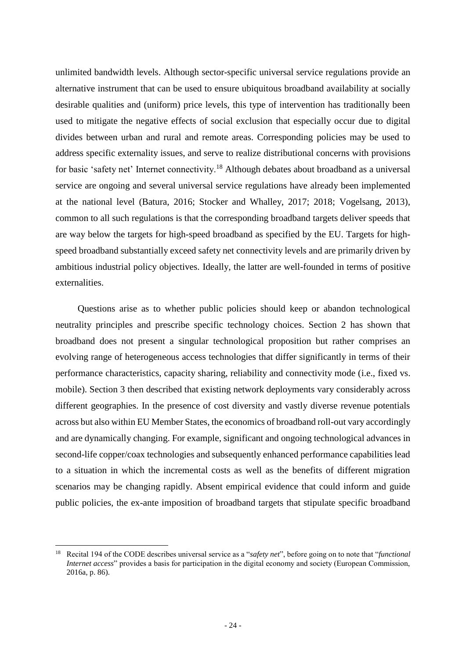unlimited bandwidth levels. Although sector-specific universal service regulations provide an alternative instrument that can be used to ensure ubiquitous broadband availability at socially desirable qualities and (uniform) price levels, this type of intervention has traditionally been used to mitigate the negative effects of social exclusion that especially occur due to digital divides between urban and rural and remote areas. Corresponding policies may be used to address specific externality issues, and serve to realize distributional concerns with provisions for basic 'safety net' Internet connectivity.<sup>18</sup> Although debates about broadband as a universal service are ongoing and several universal service regulations have already been implemented at the national level (Batura, 2016; Stocker and Whalley, 2017; 2018; Vogelsang, 2013), common to all such regulations is that the corresponding broadband targets deliver speeds that are way below the targets for high-speed broadband as specified by the EU. Targets for highspeed broadband substantially exceed safety net connectivity levels and are primarily driven by ambitious industrial policy objectives. Ideally, the latter are well-founded in terms of positive externalities.

Questions arise as to whether public policies should keep or abandon technological neutrality principles and prescribe specific technology choices. Section 2 has shown that broadband does not present a singular technological proposition but rather comprises an evolving range of heterogeneous access technologies that differ significantly in terms of their performance characteristics, capacity sharing, reliability and connectivity mode (i.e., fixed vs. mobile). Section 3 then described that existing network deployments vary considerably across different geographies. In the presence of cost diversity and vastly diverse revenue potentials across but also within EU Member States, the economics of broadband roll-out vary accordingly and are dynamically changing. For example, significant and ongoing technological advances in second-life copper/coax technologies and subsequently enhanced performance capabilities lead to a situation in which the incremental costs as well as the benefits of different migration scenarios may be changing rapidly. Absent empirical evidence that could inform and guide public policies, the ex-ante imposition of broadband targets that stipulate specific broadband

<sup>18</sup> Recital 194 of the CODE describes universal service as a "*safety net*", before going on to note that "*functional Internet access*" provides a basis for participation in the digital economy and society (European Commission, 2016a, p. 86).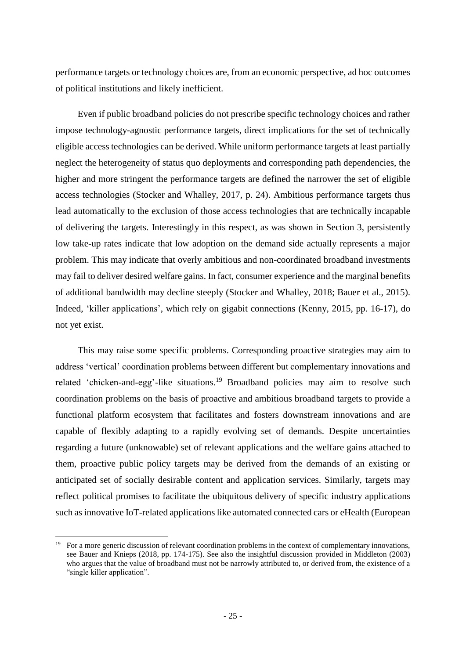performance targets or technology choices are, from an economic perspective, ad hoc outcomes of political institutions and likely inefficient.

Even if public broadband policies do not prescribe specific technology choices and rather impose technology-agnostic performance targets, direct implications for the set of technically eligible access technologies can be derived. While uniform performance targets at least partially neglect the heterogeneity of status quo deployments and corresponding path dependencies, the higher and more stringent the performance targets are defined the narrower the set of eligible access technologies (Stocker and Whalley, 2017, p. 24). Ambitious performance targets thus lead automatically to the exclusion of those access technologies that are technically incapable of delivering the targets. Interestingly in this respect, as was shown in Section 3, persistently low take-up rates indicate that low adoption on the demand side actually represents a major problem. This may indicate that overly ambitious and non-coordinated broadband investments may fail to deliver desired welfare gains. In fact, consumer experience and the marginal benefits of additional bandwidth may decline steeply (Stocker and Whalley, 2018; Bauer et al., 2015). Indeed, 'killer applications', which rely on gigabit connections (Kenny, 2015, pp. 16-17), do not yet exist.

This may raise some specific problems. Corresponding proactive strategies may aim to address 'vertical' coordination problems between different but complementary innovations and related 'chicken-and-egg'-like situations.<sup>19</sup> Broadband policies may aim to resolve such coordination problems on the basis of proactive and ambitious broadband targets to provide a functional platform ecosystem that facilitates and fosters downstream innovations and are capable of flexibly adapting to a rapidly evolving set of demands. Despite uncertainties regarding a future (unknowable) set of relevant applications and the welfare gains attached to them, proactive public policy targets may be derived from the demands of an existing or anticipated set of socially desirable content and application services. Similarly, targets may reflect political promises to facilitate the ubiquitous delivery of specific industry applications such as innovative IoT-related applications like automated connected cars or eHealth (European

<sup>19</sup> For a more generic discussion of relevant coordination problems in the context of complementary innovations, see Bauer and Knieps (2018, pp. 174-175). See also the insightful discussion provided in Middleton (2003) who argues that the value of broadband must not be narrowly attributed to, or derived from, the existence of a "single killer application".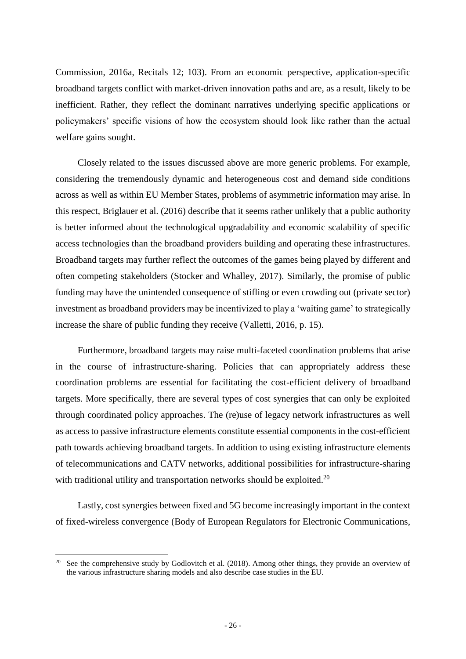Commission, 2016a, Recitals 12; 103). From an economic perspective, application-specific broadband targets conflict with market-driven innovation paths and are, as a result, likely to be inefficient. Rather, they reflect the dominant narratives underlying specific applications or policymakers' specific visions of how the ecosystem should look like rather than the actual welfare gains sought.

Closely related to the issues discussed above are more generic problems. For example, considering the tremendously dynamic and heterogeneous cost and demand side conditions across as well as within EU Member States, problems of asymmetric information may arise. In this respect, Briglauer et al. (2016) describe that it seems rather unlikely that a public authority is better informed about the technological upgradability and economic scalability of specific access technologies than the broadband providers building and operating these infrastructures. Broadband targets may further reflect the outcomes of the games being played by different and often competing stakeholders (Stocker and Whalley, 2017). Similarly, the promise of public funding may have the unintended consequence of stifling or even crowding out (private sector) investment as broadband providers may be incentivized to play a 'waiting game' to strategically increase the share of public funding they receive (Valletti, 2016, p. 15).

Furthermore, broadband targets may raise multi-faceted coordination problems that arise in the course of infrastructure-sharing. Policies that can appropriately address these coordination problems are essential for facilitating the cost-efficient delivery of broadband targets. More specifically, there are several types of cost synergies that can only be exploited through coordinated policy approaches. The (re)use of legacy network infrastructures as well as access to passive infrastructure elements constitute essential components in the cost-efficient path towards achieving broadband targets. In addition to using existing infrastructure elements of telecommunications and CATV networks, additional possibilities for infrastructure-sharing with traditional utility and transportation networks should be exploited.<sup>20</sup>

Lastly, cost synergies between fixed and 5G become increasingly important in the context of fixed-wireless convergence (Body of European Regulators for Electronic Communications,

<sup>&</sup>lt;sup>20</sup> See the comprehensive study by Godlovitch et al. (2018). Among other things, they provide an overview of the various infrastructure sharing models and also describe case studies in the EU.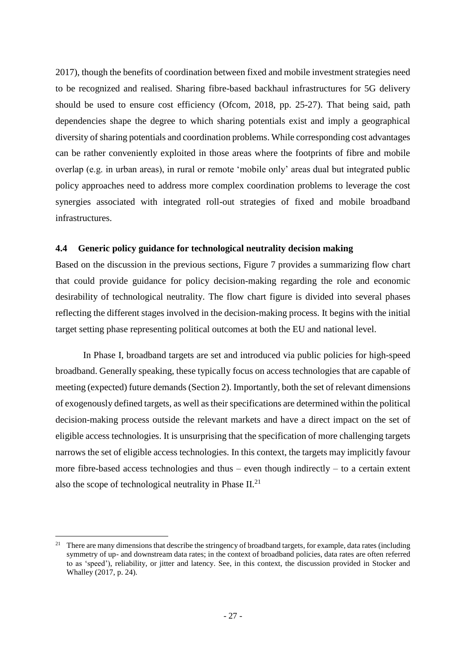2017), though the benefits of coordination between fixed and mobile investment strategies need to be recognized and realised. Sharing fibre-based backhaul infrastructures for 5G delivery should be used to ensure cost efficiency (Ofcom, 2018, pp. 25-27). That being said, path dependencies shape the degree to which sharing potentials exist and imply a geographical diversity of sharing potentials and coordination problems. While corresponding cost advantages can be rather conveniently exploited in those areas where the footprints of fibre and mobile overlap (e.g. in urban areas), in rural or remote 'mobile only' areas dual but integrated public policy approaches need to address more complex coordination problems to leverage the cost synergies associated with integrated roll-out strategies of fixed and mobile broadband infrastructures.

#### <span id="page-27-0"></span>**4.4 Generic policy guidance for technological neutrality decision making**

Based on the discussion in the previous sections, [Figure 7](#page-29-0) provides a summarizing flow chart that could provide guidance for policy decision-making regarding the role and economic desirability of technological neutrality. The flow chart figure is divided into several phases reflecting the different stages involved in the decision-making process. It begins with the initial target setting phase representing political outcomes at both the EU and national level.

In Phase I, broadband targets are set and introduced via public policies for high-speed broadband. Generally speaking, these typically focus on access technologies that are capable of meeting (expected) future demands(Section 2). Importantly, both the set of relevant dimensions of exogenously defined targets, as well as their specifications are determined within the political decision-making process outside the relevant markets and have a direct impact on the set of eligible access technologies. It is unsurprising that the specification of more challenging targets narrows the set of eligible access technologies. In this context, the targets may implicitly favour more fibre-based access technologies and thus – even though indirectly – to a certain extent also the scope of technological neutrality in Phase  $II^{21}$ .

<sup>&</sup>lt;sup>21</sup> There are many dimensions that describe the stringency of broadband targets, for example, data rates (including symmetry of up- and downstream data rates; in the context of broadband policies, data rates are often referred to as 'speed'), reliability, or jitter and latency. See, in this context, the discussion provided in Stocker and Whalley (2017, p. 24).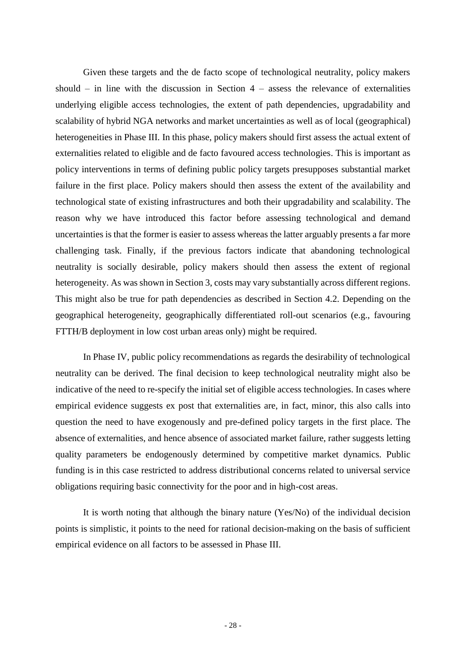Given these targets and the de facto scope of technological neutrality, policy makers should – in line with the discussion in Section  $4$  – assess the relevance of externalities underlying eligible access technologies, the extent of path dependencies, upgradability and scalability of hybrid NGA networks and market uncertainties as well as of local (geographical) heterogeneities in Phase III. In this phase, policy makers should first assess the actual extent of externalities related to eligible and de facto favoured access technologies. This is important as policy interventions in terms of defining public policy targets presupposes substantial market failure in the first place. Policy makers should then assess the extent of the availability and technological state of existing infrastructures and both their upgradability and scalability. The reason why we have introduced this factor before assessing technological and demand uncertainties is that the former is easier to assess whereas the latter arguably presents a far more challenging task. Finally, if the previous factors indicate that abandoning technological neutrality is socially desirable, policy makers should then assess the extent of regional heterogeneity. As was shown in Section 3, costs may vary substantially across different regions. This might also be true for path dependencies as described in Section 4.2. Depending on the geographical heterogeneity, geographically differentiated roll-out scenarios (e.g., favouring FTTH/B deployment in low cost urban areas only) might be required.

In Phase IV, public policy recommendations as regards the desirability of technological neutrality can be derived. The final decision to keep technological neutrality might also be indicative of the need to re-specify the initial set of eligible access technologies. In cases where empirical evidence suggests ex post that externalities are, in fact, minor, this also calls into question the need to have exogenously and pre-defined policy targets in the first place. The absence of externalities, and hence absence of associated market failure, rather suggests letting quality parameters be endogenously determined by competitive market dynamics. Public funding is in this case restricted to address distributional concerns related to universal service obligations requiring basic connectivity for the poor and in high-cost areas.

It is worth noting that although the binary nature (Yes/No) of the individual decision points is simplistic, it points to the need for rational decision-making on the basis of sufficient empirical evidence on all factors to be assessed in Phase III.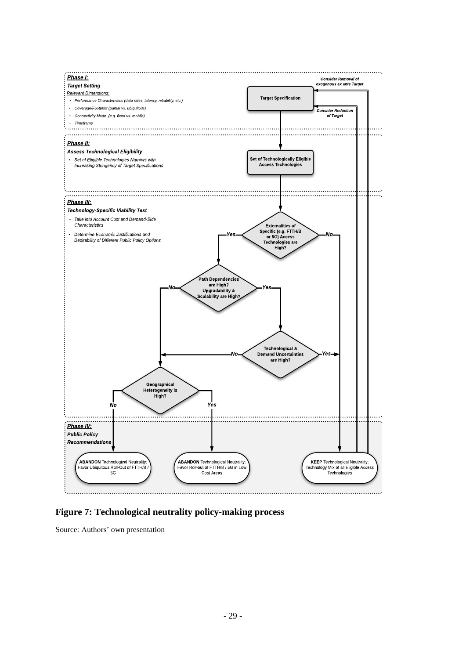

<span id="page-29-0"></span>**Figure 7: Technological neutrality policy-making process**

Source: Authors' own presentation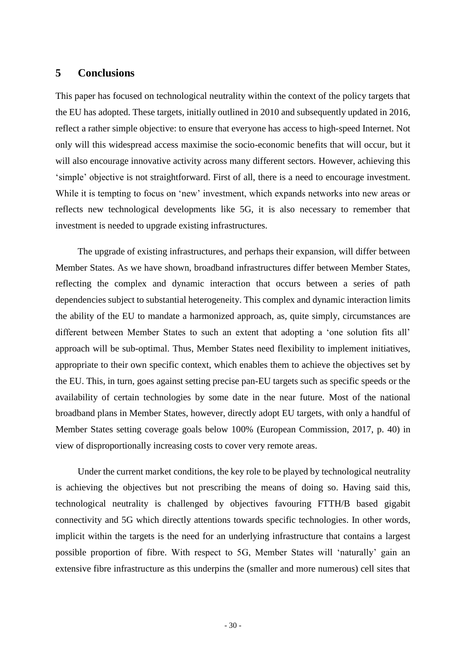# <span id="page-30-0"></span>**5 Conclusions**

This paper has focused on technological neutrality within the context of the policy targets that the EU has adopted. These targets, initially outlined in 2010 and subsequently updated in 2016, reflect a rather simple objective: to ensure that everyone has access to high-speed Internet. Not only will this widespread access maximise the socio-economic benefits that will occur, but it will also encourage innovative activity across many different sectors. However, achieving this 'simple' objective is not straightforward. First of all, there is a need to encourage investment. While it is tempting to focus on 'new' investment, which expands networks into new areas or reflects new technological developments like 5G, it is also necessary to remember that investment is needed to upgrade existing infrastructures.

The upgrade of existing infrastructures, and perhaps their expansion, will differ between Member States. As we have shown, broadband infrastructures differ between Member States, reflecting the complex and dynamic interaction that occurs between a series of path dependencies subject to substantial heterogeneity. This complex and dynamic interaction limits the ability of the EU to mandate a harmonized approach, as, quite simply, circumstances are different between Member States to such an extent that adopting a 'one solution fits all' approach will be sub-optimal. Thus, Member States need flexibility to implement initiatives, appropriate to their own specific context, which enables them to achieve the objectives set by the EU. This, in turn, goes against setting precise pan-EU targets such as specific speeds or the availability of certain technologies by some date in the near future. Most of the national broadband plans in Member States, however, directly adopt EU targets, with only a handful of Member States setting coverage goals below 100% (European Commission, 2017, p. 40) in view of disproportionally increasing costs to cover very remote areas.

Under the current market conditions, the key role to be played by technological neutrality is achieving the objectives but not prescribing the means of doing so. Having said this, technological neutrality is challenged by objectives favouring FTTH/B based gigabit connectivity and 5G which directly attentions towards specific technologies. In other words, implicit within the targets is the need for an underlying infrastructure that contains a largest possible proportion of fibre. With respect to 5G, Member States will 'naturally' gain an extensive fibre infrastructure as this underpins the (smaller and more numerous) cell sites that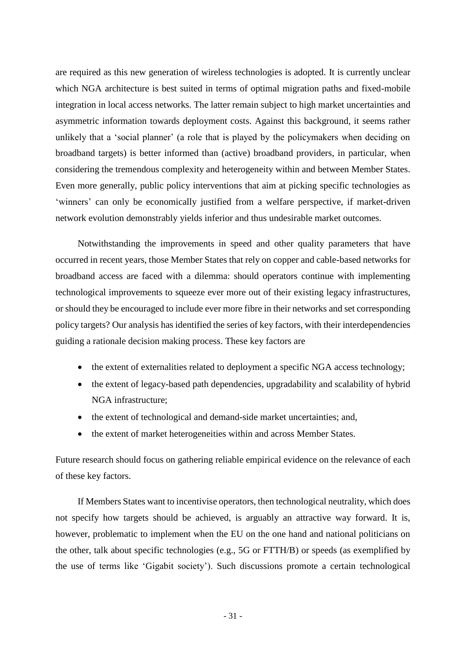are required as this new generation of wireless technologies is adopted. It is currently unclear which NGA architecture is best suited in terms of optimal migration paths and fixed-mobile integration in local access networks. The latter remain subject to high market uncertainties and asymmetric information towards deployment costs. Against this background, it seems rather unlikely that a 'social planner' (a role that is played by the policymakers when deciding on broadband targets) is better informed than (active) broadband providers, in particular, when considering the tremendous complexity and heterogeneity within and between Member States. Even more generally, public policy interventions that aim at picking specific technologies as 'winners' can only be economically justified from a welfare perspective, if market-driven network evolution demonstrably yields inferior and thus undesirable market outcomes.

Notwithstanding the improvements in speed and other quality parameters that have occurred in recent years, those Member States that rely on copper and cable-based networks for broadband access are faced with a dilemma: should operators continue with implementing technological improvements to squeeze ever more out of their existing legacy infrastructures, or should they be encouraged to include ever more fibre in their networks and set corresponding policy targets? Our analysis has identified the series of key factors, with their interdependencies guiding a rationale decision making process. These key factors are

- the extent of externalities related to deployment a specific NGA access technology;
- the extent of legacy-based path dependencies, upgradability and scalability of hybrid NGA infrastructure;
- the extent of technological and demand-side market uncertainties; and,
- the extent of market heterogeneities within and across Member States.

Future research should focus on gathering reliable empirical evidence on the relevance of each of these key factors.

If Members States want to incentivise operators, then technological neutrality, which does not specify how targets should be achieved, is arguably an attractive way forward. It is, however, problematic to implement when the EU on the one hand and national politicians on the other, talk about specific technologies (e.g., 5G or FTTH/B) or speeds (as exemplified by the use of terms like 'Gigabit society'). Such discussions promote a certain technological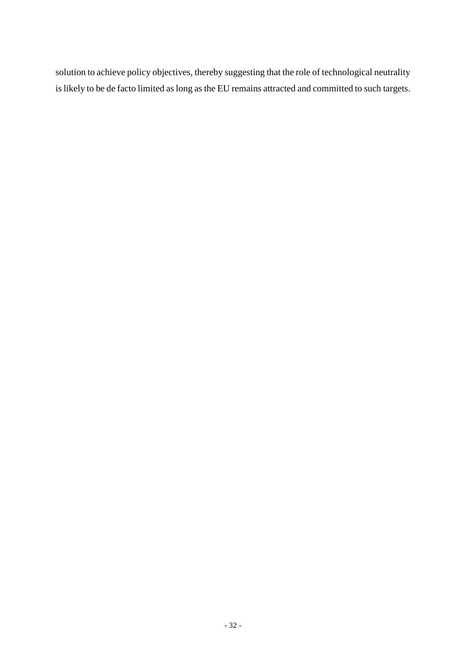solution to achieve policy objectives, thereby suggesting that the role of technological neutrality is likely to be de facto limited as long as the EU remains attracted and committed to such targets.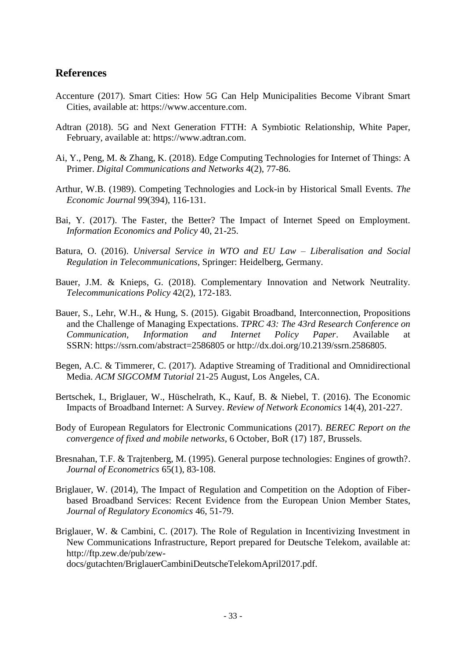# **References**

- Accenture (2017). Smart Cities: How 5G Can Help Municipalities Become Vibrant Smart Cities, available at: https://www.accenture.com.
- Adtran (2018). 5G and Next Generation FTTH: A Symbiotic Relationship, White Paper, February, available at: https://www.adtran.com.
- Ai, Y., Peng, M. & Zhang, K. (2018). Edge Computing Technologies for Internet of Things: A Primer. *Digital Communications and Networks* 4(2), 77-86.
- Arthur, W.B. (1989). Competing Technologies and Lock-in by Historical Small Events. *The Economic Journal* 99(394), 116-131.
- Bai, Y. (2017). The Faster, the Better? The Impact of Internet Speed on Employment. *Information Economics and Policy* 40, 21-25.
- Batura, O. (2016). *Universal Service in WTO and EU Law – Liberalisation and Social Regulation in Telecommunications*, Springer: Heidelberg, Germany.
- Bauer, J.M. & Knieps, G. (2018). Complementary Innovation and Network Neutrality. *Telecommunications Policy* 42(2), 172-183.
- Bauer, S., Lehr, W.H., & Hung, S. (2015). Gigabit Broadband, Interconnection, Propositions and the Challenge of Managing Expectations. *TPRC 43: The 43rd Research Conference on Communication, Information and Internet Policy Paper*. Available at SSRN: <https://ssrn.com/abstract=2586805> or [http://dx.doi.org/10.2139/ssrn.2586805.](https://dx.doi.org/10.2139/ssrn.2586805)
- Begen, A.C. & Timmerer, C. (2017). Adaptive Streaming of Traditional and Omnidirectional Media. *ACM SIGCOMM Tutorial* 21-25 August, Los Angeles, CA.
- Bertschek, I., Briglauer, W., Hüschelrath, K., Kauf, B. & Niebel, T. (2016). The Economic Impacts of Broadband Internet: A Survey. *Review of Network Economics* 14(4), 201-227.
- Body of European Regulators for Electronic Communications (2017). *BEREC Report on the convergence of fixed and mobile networks*, 6 October, BoR (17) 187, Brussels.
- Bresnahan, T.F. & Trajtenberg, M. (1995). General purpose technologies: Engines of growth?. *Journal of Econometrics* 65(1), 83-108.
- Briglauer, W. (2014), The Impact of Regulation and Competition on the Adoption of Fiberbased Broadband Services: Recent Evidence from the European Union Member States, *Journal of Regulatory Economics* 46, 51-79.
- Briglauer, W. & Cambini, C. (2017). The Role of Regulation in Incentivizing Investment in New Communications Infrastructure, Report prepared for Deutsche Telekom, available at: http://ftp.zew.de/pub/zew-

docs/gutachten/BriglauerCambiniDeutscheTelekomApril2017.pdf.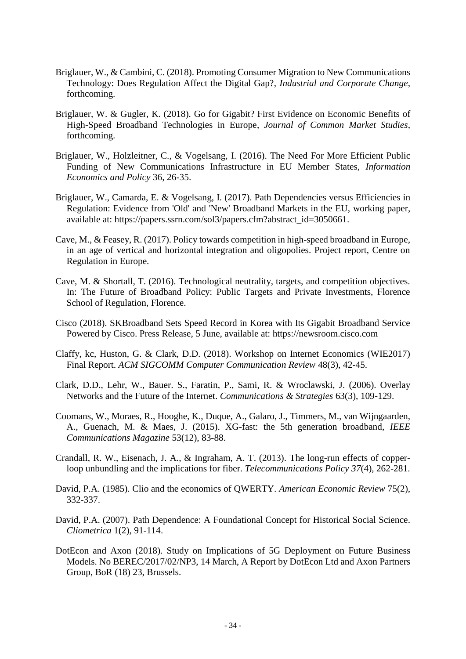- Briglauer, W., & Cambini, C. (2018). Promoting Consumer Migration to New Communications Technology: Does Regulation Affect the Digital Gap?, *Industrial and Corporate Change*, forthcoming.
- Briglauer, W. & Gugler, K. (2018). Go for Gigabit? First Evidence on Economic Benefits of High-Speed Broadband Technologies in Europe, *Journal of Common Market Studies*, forthcoming.
- Briglauer, W., Holzleitner, C., & Vogelsang, I. (2016). The Need For More Efficient Public Funding of New Communications Infrastructure in EU Member States, *Information Economics and Policy* 36, 26-35.
- Briglauer, W., Camarda, E. & Vogelsang, I. (2017). Path Dependencies versus Efficiencies in Regulation: Evidence from 'Old' and 'New' Broadband Markets in the EU, working paper, available at: [https://papers.ssrn.com/sol3/papers.cfm?abstract\\_id=3050661.](https://papers.ssrn.com/sol3/papers.cfm?abstract_id=3050661)
- Cave, M., & Feasey, R. (2017). Policy towards competition in high-speed broadband in Europe, in an age of vertical and horizontal integration and oligopolies. Project report, Centre on Regulation in Europe.
- Cave, M. & Shortall, T. (2016). Technological neutrality, targets, and competition objectives. In: The Future of Broadband Policy: Public Targets and Private Investments, Florence School of Regulation, Florence.
- Cisco (2018). SKBroadband Sets Speed Record in Korea with Its Gigabit Broadband Service Powered by Cisco. Press Release, 5 June, available at: https://newsroom.cisco.com
- Claffy, kc, Huston, G. & Clark, D.D. (2018). Workshop on Internet Economics (WIE2017) Final Report. *ACM SIGCOMM Computer Communication Review* 48(3), 42-45.
- Clark, D.D., Lehr, W., Bauer. S., Faratin, P., Sami, R. & Wroclawski, J. (2006). Overlay Networks and the Future of the Internet. *Communications & Strategies* 63(3), 109-129.
- Coomans, W., Moraes, R., Hooghe, K., Duque, A., Galaro, J., Timmers, M., van Wijngaarden, A., Guenach, M. & Maes, J. (2015). XG-fast: the 5th generation broadband, *[IEEE](https://www.researchgate.net/journal/0163-6804_IEEE_Communications_Magazine)  [Communications Magazine](https://www.researchgate.net/journal/0163-6804_IEEE_Communications_Magazine)* 53(12), 83-88.
- Crandall, R. W., Eisenach, J. A., & Ingraham, A. T. (2013). The long-run effects of copperloop unbundling and the implications for fiber. *Telecommunications Policy 37*(4), 262-281.
- David, P.A. (1985). Clio and the economics of QWERTY. *American Economic Review* 75(2), 332-337.
- David, P.A. (2007). Path Dependence: A Foundational Concept for Historical Social Science. *Cliometrica* 1(2), 91-114.
- DotEcon and Axon (2018). Study on Implications of 5G Deployment on Future Business Models. No BEREC/2017/02/NP3, 14 March, A Report by DotEcon Ltd and Axon Partners Group, BoR (18) 23, Brussels.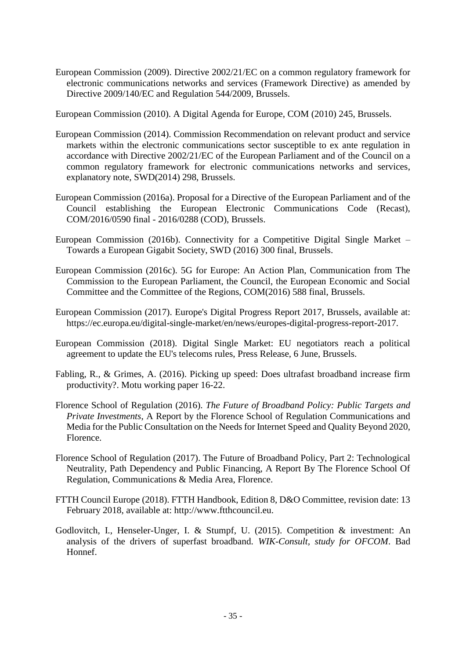European Commission (2009). Directive 2002/21/EC on a common regulatory framework for electronic communications networks and services (Framework Directive) as amended by Directive 2009/140/EC and Regulation 544/2009, Brussels.

European Commission (2010). A Digital Agenda for Europe, COM (2010) 245, Brussels.

- European Commission (2014). Commission Recommendation on relevant product and service markets within the electronic communications sector susceptible to ex ante regulation in accordance with Directive 2002/21/EC of the European Parliament and of the Council on a common regulatory framework for electronic communications networks and services, explanatory note, SWD(2014) 298, Brussels.
- European Commission (2016a). Proposal for a Directive of the European Parliament and of the Council establishing the European Electronic Communications Code (Recast), COM/2016/0590 final - 2016/0288 (COD), Brussels.
- European Commission (2016b). Connectivity for a Competitive Digital Single Market Towards a European Gigabit Society, SWD (2016) 300 final, Brussels.
- European Commission (2016c). 5G for Europe: An Action Plan, Communication from The Commission to the European Parliament, the Council, the European Economic and Social Committee and the Committee of the Regions, COM(2016) 588 final, Brussels.
- European Commission (2017). Europe's Digital Progress Report 2017, Brussels, available at: https://ec.europa.eu/digital-single-market/en/news/europes-digital-progress-report-2017.
- European Commission (2018). Digital Single Market: EU negotiators reach a political agreement to update the EU's telecoms rules, Press Release, 6 June, Brussels.
- Fabling, R., & Grimes, A. (2016). Picking up speed: Does ultrafast broadband increase firm productivity?. Motu working paper 16-22.
- Florence School of Regulation (2016). *The Future of Broadband Policy: Public Targets and Private Investments*, A Report by the Florence School of Regulation Communications and Media for the Public Consultation on the Needs for Internet Speed and Quality Beyond 2020, Florence.
- Florence School of Regulation (2017). The Future of Broadband Policy, Part 2: Technological Neutrality, Path Dependency and Public Financing, A Report By The Florence School Of Regulation, Communications & Media Area, Florence.
- FTTH Council Europe (2018). FTTH Handbook, Edition 8, D&O Committee, revision date: 13 February 2018, available at: http://www.ftthcouncil.eu.
- Godlovitch, I., Henseler-Unger, I. & Stumpf, U. (2015). Competition & investment: An analysis of the drivers of superfast broadband. *WIK-Consult, study for OFCOM*. Bad Honnef.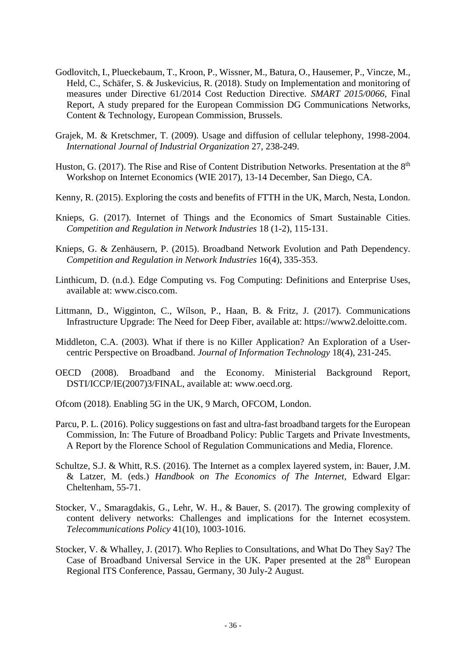- Godlovitch, I., Plueckebaum, T., Kroon, P., Wissner, M., Batura, O., Hausemer, P., Vincze, M., Held, C., Schäfer, S. & Juskevicius, R. (2018). Study on Implementation and monitoring of measures under Directive 61/2014 Cost Reduction Directive. *SMART 2015/0066*, Final Report, A study prepared for the European Commission DG Communications Networks, Content & Technology, European Commission, Brussels.
- Grajek, M. & Kretschmer, T. (2009). Usage and diffusion of cellular telephony, 1998-2004. *International Journal of Industrial Organization* 27, 238-249.
- Huston, G. (2017). The Rise and Rise of Content Distribution Networks. Presentation at the  $8<sup>th</sup>$ Workshop on Internet Economics (WIE 2017), 13-14 December, San Diego, CA.
- Kenny, R. (2015). Exploring the costs and benefits of FTTH in the UK, March, Nesta, London.
- Knieps, G. (2017). Internet of Things and the Economics of Smart Sustainable Cities. *Competition and Regulation in Network Industries* 18 (1-2), 115-131.
- Knieps, G. & Zenhäusern, P. (2015). Broadband Network Evolution and Path Dependency. *Competition and Regulation in Network Industries* 16(4), 335-353.
- Linthicum, D. (n.d.). Edge Computing vs. Fog Computing: Definitions and Enterprise Uses, available at: www.cisco.com.
- Littmann, D., Wigginton, C., Wílson, P., Haan, B. & Fritz, J. (2017). Communications Infrastructure Upgrade: The Need for Deep Fiber, available at: https://www2.deloitte.com.
- Middleton, C.A. (2003). What if there is no Killer Application? An Exploration of a Usercentric Perspective on Broadband. *Journal of Information Technology* 18(4), 231-245.
- OECD (2008). Broadband and the Economy. Ministerial Background Report, DSTI/ICCP/IE(2007)3/FINAL, available at: www.oecd.org.
- Ofcom (2018). Enabling 5G in the UK, 9 March, OFCOM, London.
- Parcu, P. L. (2016). Policy suggestions on fast and ultra-fast broadband targets for the European Commission, In: The Future of Broadband Policy: Public Targets and Private Investments, A Report by the Florence School of Regulation Communications and Media, Florence.
- Schultze, S.J. & Whitt, R.S. (2016). The Internet as a complex layered system, in: Bauer, J.M. & Latzer, M. (eds.) *Handbook on The Economics of The Internet*, Edward Elgar: Cheltenham, 55-71.
- Stocker, V., Smaragdakis, G., Lehr, W. H., & Bauer, S. (2017). The growing complexity of content delivery networks: Challenges and implications for the Internet ecosystem. *Telecommunications Policy* 41(10), 1003-1016.
- Stocker, V. & Whalley, J. (2017). Who Replies to Consultations, and What Do They Say? The Case of Broadband Universal Service in the UK. Paper presented at the  $28<sup>th</sup>$  European Regional ITS Conference, Passau, Germany, 30 July-2 August.